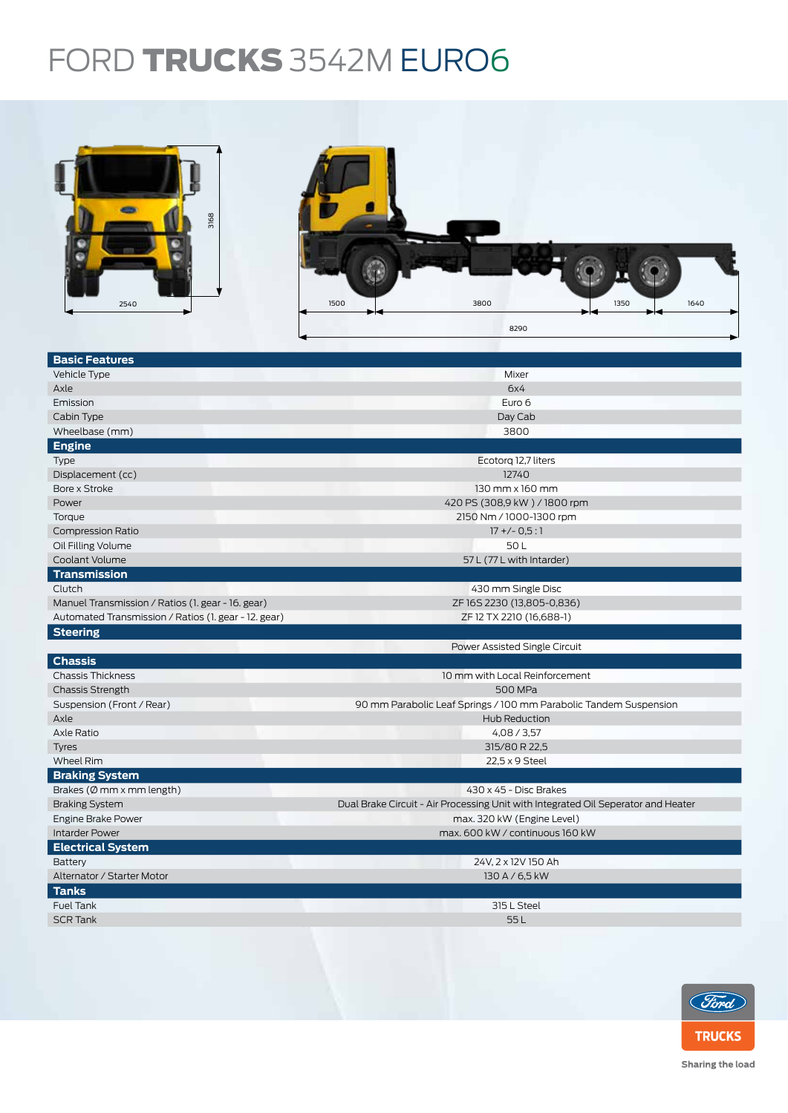## FORD TRUCKS 3542M EURO6

| 3168<br>2540                                         | 3800<br>1500<br>1350<br>1640                                                      |  |  |  |  |
|------------------------------------------------------|-----------------------------------------------------------------------------------|--|--|--|--|
|                                                      | 8290                                                                              |  |  |  |  |
|                                                      |                                                                                   |  |  |  |  |
| <b>Basic Features</b>                                |                                                                                   |  |  |  |  |
| Vehicle Type                                         | Mixer                                                                             |  |  |  |  |
| Axle                                                 | 6x4                                                                               |  |  |  |  |
| Emission                                             | Euro 6                                                                            |  |  |  |  |
| Cabin Type                                           | Day Cab                                                                           |  |  |  |  |
| Wheelbase (mm)                                       | 3800                                                                              |  |  |  |  |
| <b>Engine</b>                                        |                                                                                   |  |  |  |  |
| Type                                                 | Ecotorg 12,7 liters                                                               |  |  |  |  |
| Displacement (cc)                                    | 12740                                                                             |  |  |  |  |
| Bore x Stroke                                        | 130 mm x 160 mm                                                                   |  |  |  |  |
| Power                                                | 420 PS (308,9 kW) / 1800 rpm                                                      |  |  |  |  |
| Torque<br><b>Compression Ratio</b>                   | 2150 Nm / 1000-1300 rpm                                                           |  |  |  |  |
| Oil Filling Volume                                   | $17 + (-0.5:1)$<br>50L                                                            |  |  |  |  |
| Coolant Volume                                       | 57 L (77 L with Intarder)                                                         |  |  |  |  |
| <b>Transmission</b>                                  |                                                                                   |  |  |  |  |
| Clutch                                               | 430 mm Single Disc                                                                |  |  |  |  |
| Manuel Transmission / Ratios (1. gear - 16. gear)    | ZF16S2230 (13,805-0,836)                                                          |  |  |  |  |
| Automated Transmission / Ratios (1. gear - 12. gear) | ZF 12 TX 2210 (16,688-1)                                                          |  |  |  |  |
| <b>Steering</b>                                      |                                                                                   |  |  |  |  |
|                                                      | Power Assisted Single Circuit                                                     |  |  |  |  |
| <b>Chassis</b>                                       |                                                                                   |  |  |  |  |
| <b>Chassis Thickness</b>                             | 10 mm with Local Reinforcement                                                    |  |  |  |  |
| <b>Chassis Strength</b>                              | 500 MPa                                                                           |  |  |  |  |
| Suspension (Front / Rear)                            | 90 mm Parabolic Leaf Springs / 100 mm Parabolic Tandem Suspension                 |  |  |  |  |
| Axle                                                 | Hub Reduction                                                                     |  |  |  |  |
| Axle Ratio                                           | 4,08 / 3,57                                                                       |  |  |  |  |
| Tyres                                                | 315/80 R 22,5                                                                     |  |  |  |  |
| Wheel Rim                                            | 22,5 x 9 Steel                                                                    |  |  |  |  |
| <b>Braking System</b>                                |                                                                                   |  |  |  |  |
| Brakes (Ø mm x mm length)                            | 430 x 45 - Disc Brakes                                                            |  |  |  |  |
| <b>Braking System</b>                                | Dual Brake Circuit - Air Processing Unit with Integrated Oil Seperator and Heater |  |  |  |  |
| Engine Brake Power                                   | max. 320 kW (Engine Level)                                                        |  |  |  |  |
| <b>Intarder Power</b>                                | max. 600 kW / continuous 160 kW                                                   |  |  |  |  |
| <b>Electrical System</b>                             |                                                                                   |  |  |  |  |
| Battery                                              | 24V, 2 x 12V 150 Ah                                                               |  |  |  |  |
| Alternator / Starter Motor                           | 130 A / 6,5 kW                                                                    |  |  |  |  |
| <b>Tanks</b>                                         |                                                                                   |  |  |  |  |
| Fuel Tank                                            | 315 L Steel                                                                       |  |  |  |  |
| <b>SCR Tank</b>                                      | 55L                                                                               |  |  |  |  |
|                                                      |                                                                                   |  |  |  |  |



Sharing the load